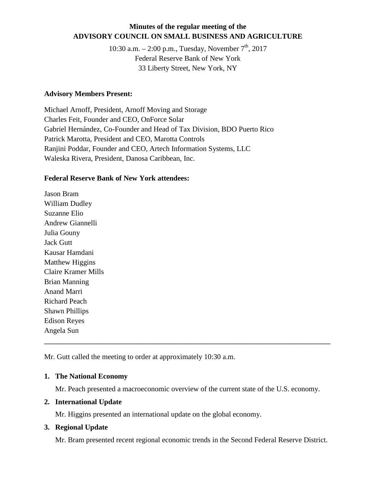## **Minutes of the regular meeting of the ADVISORY COUNCIL ON SMALL BUSINESS AND AGRICULTURE**

10:30 a.m.  $- 2:00$  p.m., Tuesday, November  $7<sup>th</sup>$ , 2017 Federal Reserve Bank of New York 33 Liberty Street, New York, NY

#### **Advisory Members Present:**

Michael Arnoff, President, Arnoff Moving and Storage Charles Feit, Founder and CEO, OnForce Solar Gabriel Hernández, Co-Founder and Head of Tax Division, BDO Puerto Rico Patrick Marotta, President and CEO, Marotta Controls Ranjini Poddar, Founder and CEO, Artech Information Systems, LLC Waleska Rivera, President, Danosa Caribbean, Inc.

#### **Federal Reserve Bank of New York attendees:**

Jason Bram William Dudley Suzanne Elio Andrew Giannelli Julia Gouny Jack Gutt Kausar Hamdani Matthew Higgins Claire Kramer Mills Brian Manning Anand Marri Richard Peach Shawn Phillips Edison Reyes Angela Sun

Mr. Gutt called the meeting to order at approximately 10:30 a.m.

### **1. The National Economy**

Mr. Peach presented a macroeconomic overview of the current state of the U.S. economy.

\_\_\_\_\_\_\_\_\_\_\_\_\_\_\_\_\_\_\_\_\_\_\_\_\_\_\_\_\_\_\_\_\_\_\_\_\_\_\_\_\_\_\_\_\_\_\_\_\_\_\_\_\_\_\_\_\_\_\_\_\_\_\_\_\_\_\_\_\_\_\_\_\_\_\_\_\_\_

### **2. International Update**

Mr. Higgins presented an international update on the global economy.

### **3. Regional Update**

Mr. Bram presented recent regional economic trends in the Second Federal Reserve District.